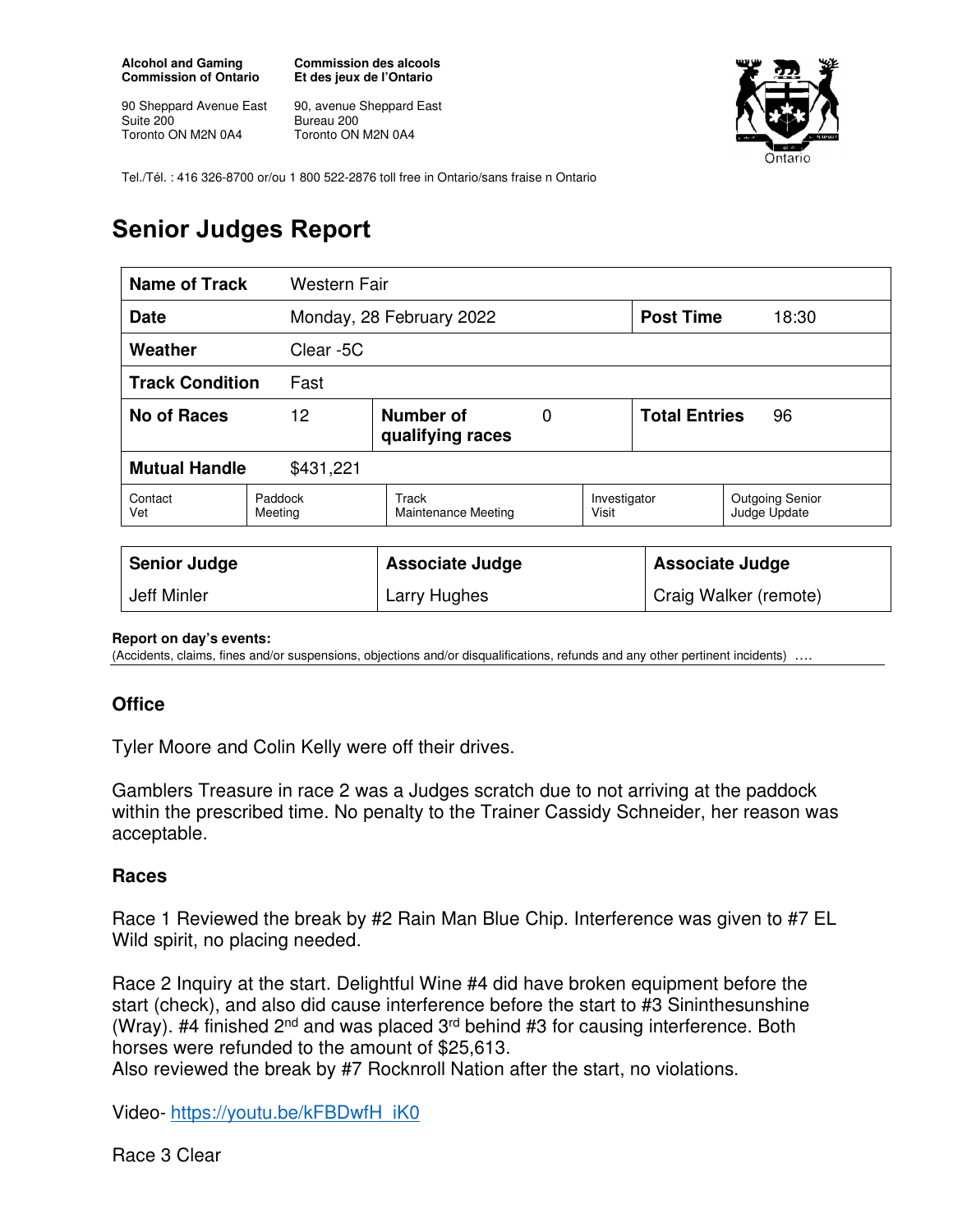**Alcohol and Gaming Commission of Ontario** 

90 Sheppard Avenue East Suite 200 Toronto ON M2N 0A4

**Commission des alcools Et des jeux de l'Ontario** 

90, avenue Sheppard East Bureau 200 Toronto ON M2N 0A4



Tel./Tél. : 416 326-8700 or/ou 1 800 522-2876 toll free in Ontario/sans fraise n Ontario

# **Senior Judges Report**

| Name of Track<br><b>Western Fair</b> |                                          |                                     |  |                            |                        |                                        |
|--------------------------------------|------------------------------------------|-------------------------------------|--|----------------------------|------------------------|----------------------------------------|
| Date                                 |                                          | Monday, 28 February 2022            |  |                            | <b>Post Time</b>       | 18:30                                  |
| Weather                              | Clear -5C                                |                                     |  |                            |                        |                                        |
| <b>Track Condition</b><br>Fast       |                                          |                                     |  |                            |                        |                                        |
| <b>No of Races</b>                   | 12<br>Number of<br>0<br>qualifying races |                                     |  | <b>Total Entries</b><br>96 |                        |                                        |
| <b>Mutual Handle</b><br>\$431,221    |                                          |                                     |  |                            |                        |                                        |
| Contact<br>Vet                       | Paddock<br>Meeting                       | Track<br><b>Maintenance Meeting</b> |  | Investigator<br>Visit      |                        | <b>Outgoing Senior</b><br>Judge Update |
| <b>Senior Judge</b>                  |                                          | <b>Associate Judge</b>              |  |                            | <b>Associate Judge</b> |                                        |
| Jeff Minler                          |                                          | Larry Hughes                        |  |                            | Craig Walker (remote)  |                                        |

#### **Report on day's events:**

(Accidents, claims, fines and/or suspensions, objections and/or disqualifications, refunds and any other pertinent incidents) ….

### **Office**

Tyler Moore and Colin Kelly were off their drives.

Gamblers Treasure in race 2 was a Judges scratch due to not arriving at the paddock within the prescribed time. No penalty to the Trainer Cassidy Schneider, her reason was acceptable.

#### **Races**

Race 1 Reviewed the break by #2 Rain Man Blue Chip. Interference was given to #7 EL Wild spirit, no placing needed.

Race 2 Inquiry at the start. Delightful Wine #4 did have broken equipment before the start (check), and also did cause interference before the start to #3 Sininthesunshine (Wray). #4 finished  $2^{nd}$  and was placed  $3^{rd}$  behind #3 for causing interference. Both horses were refunded to the amount of \$25,613.

Also reviewed the break by #7 Rocknroll Nation after the start, no violations.

Video- https://youtu.be/kFBDwfH\_iK0